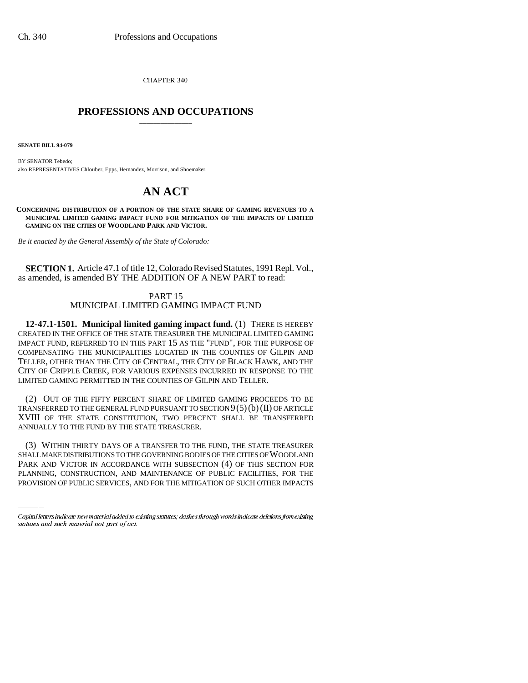CHAPTER 340

## \_\_\_\_\_\_\_\_\_\_\_\_\_\_\_ **PROFESSIONS AND OCCUPATIONS** \_\_\_\_\_\_\_\_\_\_\_\_\_\_\_

**SENATE BILL 94-079**

BY SENATOR Tebedo; also REPRESENTATIVES Chlouber, Epps, Hernandez, Morrison, and Shoemaker.

## **AN ACT**

**CONCERNING DISTRIBUTION OF A PORTION OF THE STATE SHARE OF GAMING REVENUES TO A MUNICIPAL LIMITED GAMING IMPACT FUND FOR MITIGATION OF THE IMPACTS OF LIMITED GAMING ON THE CITIES OF WOODLAND PARK AND VICTOR.**

*Be it enacted by the General Assembly of the State of Colorado:*

**SECTION 1.** Article 47.1 of title 12, Colorado Revised Statutes, 1991 Repl. Vol., as amended, is amended BY THE ADDITION OF A NEW PART to read:

## PART 15 MUNICIPAL LIMITED GAMING IMPACT FUND

**12-47.1-1501. Municipal limited gaming impact fund.** (1) THERE IS HEREBY CREATED IN THE OFFICE OF THE STATE TREASURER THE MUNICIPAL LIMITED GAMING IMPACT FUND, REFERRED TO IN THIS PART 15 AS THE "FUND", FOR THE PURPOSE OF COMPENSATING THE MUNICIPALITIES LOCATED IN THE COUNTIES OF GILPIN AND TELLER, OTHER THAN THE CITY OF CENTRAL, THE CITY OF BLACK HAWK, AND THE CITY OF CRIPPLE CREEK, FOR VARIOUS EXPENSES INCURRED IN RESPONSE TO THE LIMITED GAMING PERMITTED IN THE COUNTIES OF GILPIN AND TELLER.

(2) OUT OF THE FIFTY PERCENT SHARE OF LIMITED GAMING PROCEEDS TO BE TRANSFERRED TO THE GENERAL FUND PURSUANT TO SECTION  $9(5)(b)(II)$  OF ARTICLE XVIII OF THE STATE CONSTITUTION, TWO PERCENT SHALL BE TRANSFERRED ANNUALLY TO THE FUND BY THE STATE TREASURER.

(3) WITHIN THIRTY DAYS OF A TRANSFER TO THE FUND, THE STATE TREASURER SHALL MAKE DISTRIBUTIONS TO THE GOVERNING BODIES OF THE CITIES OF WOODLAND PARK AND VICTOR IN ACCORDANCE WITH SUBSECTION (4) OF THIS SECTION FOR PLANNING, CONSTRUCTION, AND MAINTENANCE OF PUBLIC FACILITIES, FOR THE PROVISION OF PUBLIC SERVICES, AND FOR THE MITIGATION OF SUCH OTHER IMPACTS

Capital letters indicate new material added to existing statutes; dashes through words indicate deletions from existing statutes and such material not part of act.